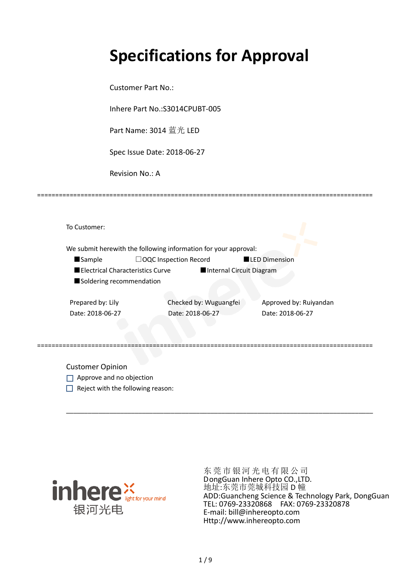# **Specifications for Approval**

Customer Part No.:

Inhere Part No.:S3014CPUBT-005

Part Name: 3014 蓝光 LED

Spec Issue Date: 2018-06-27

Revision No.: A

|                   |                                    | We submit herewith the following information for your approval: |                      |                        |
|-------------------|------------------------------------|-----------------------------------------------------------------|----------------------|------------------------|
| <b>Sample</b>     |                                    | $\Box$ OQC Inspection Record                                    | <b>LED Dimension</b> |                        |
|                   | ■ Electrical Characteristics Curve | Internal Circuit Diagram                                        |                      |                        |
|                   | Soldering recommendation           |                                                                 |                      |                        |
|                   |                                    |                                                                 |                      |                        |
| Prepared by: Lily |                                    | Checked by: Wuguangfei                                          |                      | Approved by: Ruiyandan |

=============================================================================================

Customer Opinion

- Approve and no objection
- $\Box$  Reject with the following reason:



东莞市银河光电有限公司 DongGuan Inhere Opto CO.,LTD. 地址:东莞市莞城科技园 D 幢 ADD:Guancheng Science & Technology Park, DongGuan TEL: 0769-23320868 FAX: 0769-23320878 E-mail: bill@inhereopto.com Http://www.inhereopto.com

\_\_\_\_\_\_\_\_\_\_\_\_\_\_\_\_\_\_\_\_\_\_\_\_\_\_\_\_\_\_\_\_\_\_\_\_\_\_\_\_\_\_\_\_\_\_\_\_\_\_\_\_\_\_\_\_\_\_\_\_\_\_\_\_\_\_\_\_\_\_\_\_\_\_\_\_\_\_\_\_\_\_\_\_\_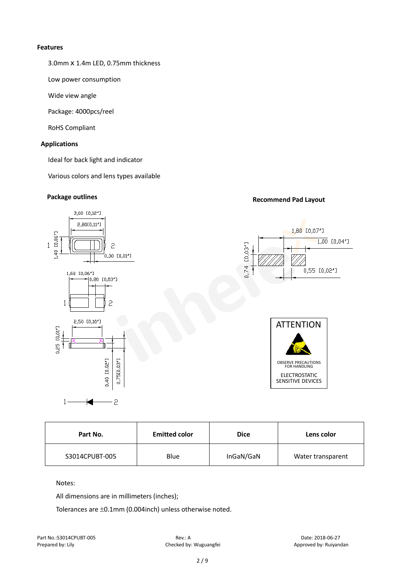#### **Features**

3.0mmⅹ1.4m LED, 0.75mm thickness

Low power consumption

Wide view angle

Package: 4000pcs/reel

RoHS Compliant

### **Applications**

Ideal for back light and indicator

Various colors and lens types available

### **Package outlines Recommend Pad Layout**



| Part No.       | <b>Emitted color</b> | <b>Dice</b> | Lens color        |
|----------------|----------------------|-------------|-------------------|
| S3014CPUBT-005 | <b>Blue</b>          | InGaN/GaN   | Water transparent |

#### Notes:

All dimensions are in millimeters (inches);

Tolerances are ±0.1mm (0.004inch) unless otherwise noted.

Part No.:S3014CPUBT-005 Rev.: A Date: 2018-06-27

Prepared by: Lily Checked by: Wuguangfei Approved by: Ruiyandan Approved by: Ruiyandan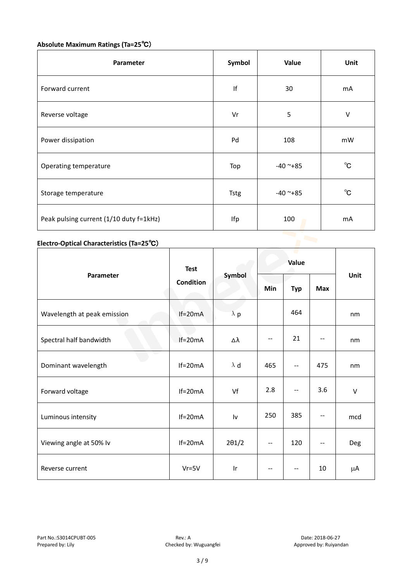### **Absolute Maximum Ratings (Ta=25**℃)

| Parameter                               | Symbol      | Value      | Unit         |
|-----------------------------------------|-------------|------------|--------------|
| Forward current                         | f           | 30         | mA           |
| Reverse voltage                         | Vr          | 5          | V            |
| Power dissipation                       | Pd          | 108        | mW           |
| Operating temperature                   | Top         | $-40$ ~+85 | $^{\circ}$ C |
| Storage temperature                     | <b>Tstg</b> | $-40$ ~+85 | $^{\circ}$ C |
| Peak pulsing current (1/10 duty f=1kHz) | Ifp         | 100        | mA           |

### **Electro-Optical Characteristics (Ta=25**℃)

|                             | <b>Test</b><br><b>Condition</b> | Symbol        | Value |                                       |            |        |
|-----------------------------|---------------------------------|---------------|-------|---------------------------------------|------------|--------|
| Parameter                   |                                 |               | Min   | <b>Typ</b>                            | <b>Max</b> | Unit   |
| Wavelength at peak emission | $If=20mA$                       | $\lambda$ p   |       | 464                                   |            | nm     |
| Spectral half bandwidth     | $If=20mA$                       | Δλ            | $-$   | 21                                    |            | nm     |
| Dominant wavelength         | $If=20mA$                       | $\lambda$ d   | 465   | --                                    | 475        | nm     |
| Forward voltage             | $If=20mA$                       | Vf            | 2.8   | $\hspace{0.05cm}$ – $\hspace{0.05cm}$ | 3.6        | $\vee$ |
| Luminous intensity          | $If=20mA$                       | Iv            | 250   | 385                                   |            | mcd    |
| Viewing angle at 50% lv     | $If=20mA$                       | $2\theta$ 1/2 | --    | 120                                   | $-$        | Deg    |
| Reverse current             | $Vr = 5V$                       | Ir            | $- -$ | $-\,-$                                | 10         | μA     |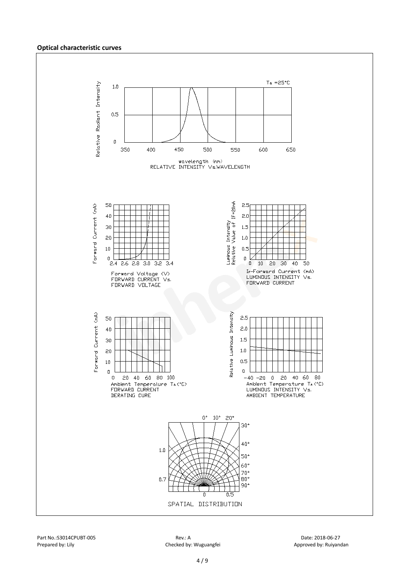#### **Optical characteristic curves**

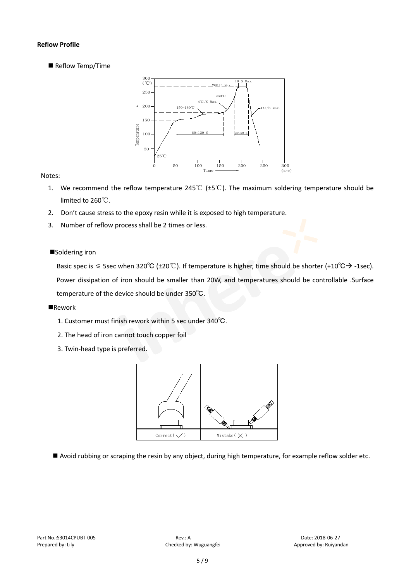#### **Reflow Profile**

Reflow Temp/Time



#### Notes:

- 1. We recommend the reflow temperature 245℃ (±5℃). The maximum soldering temperature should be limited to 260℃.
- 2. Don't cause stress to the epoxy resin while it is exposed to high temperature.
- 3. Number of reflow process shall be 2 times or less.

#### ■Soldering iron

Basic spec is  $\leq$  5sec when 320°C (±20°C). If temperature is higher, time should be shorter (+10°C $\rightarrow$ -1sec). Power dissipation of iron should be smaller than 20W, and temperatures should be controllable .Surface temperature of the device should be under 350℃.

#### **Rework**

- 1. Customer must finish rework within 5 sec under 340℃.
- 2. The head of iron cannot touch copper foil
- 3. Twin-head type is preferred.



Avoid rubbing or scraping the resin by any object, during high temperature, for example reflow solder etc.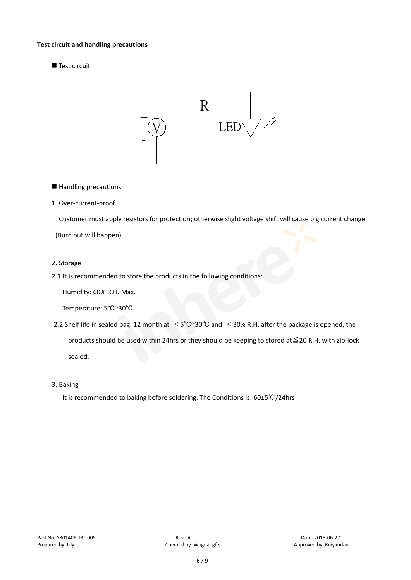#### T**est circuit and handling precautions**

Test circuit



■ Handling precautions

#### 1. Over-current-proof

Customer must apply resistors for protection; otherwise slight voltage shift will cause big current change

(Burn out will happen).

#### 2. Storage

#### 2.1 It is recommended to store the products in the following conditions:

Humidity: 60% R.H. Max.

Temperature: 5℃~30℃

- 2.2 Shelf life in sealed bag: 12 month at <5℃~30°C and <30% R.H. after the package is opened, the products should be used within 24hrs or they should be keeping to stored at≦20 R.H. with zip-lock sealed.
- 3. Baking

It is recommended to baking before soldering. The Conditions is: 60±5℃/24hrs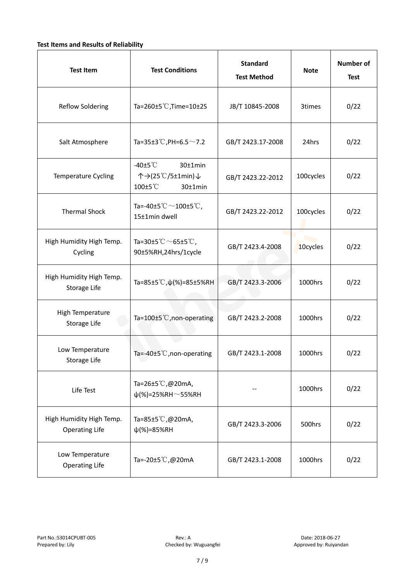### **Test Items and Results of Reliability**

| <b>Test Item</b>                                  | <b>Test Conditions</b>                                                         | <b>Standard</b><br><b>Test Method</b> | <b>Note</b> | <b>Number of</b><br><b>Test</b> |
|---------------------------------------------------|--------------------------------------------------------------------------------|---------------------------------------|-------------|---------------------------------|
| <b>Reflow Soldering</b>                           | Ta=260 $\pm$ 5 °C, Time=10 $\pm$ 2S                                            | JB/T 10845-2008                       | 3times      | 0/22                            |
| Salt Atmosphere                                   | Ta=35±3°C, PH=6.5 $\sim$ 7.2                                                   | GB/T 2423.17-2008                     | 24hrs       | 0/22                            |
| Temperature Cycling                               | -40 $±5^{\circ}$ C<br>$30±1$ min<br>个→(25℃/5±1min)↓<br>100±5°C<br>$30±1$ min   | GB/T 2423.22-2012                     | 100cycles   | 0/22                            |
| <b>Thermal Shock</b>                              | Ta=-40±5 $\degree \text{C}$ $\sim$ 100±5 $\degree \text{C}$ ,<br>15±1min dwell | GB/T 2423.22-2012                     | 100cycles   | 0/22                            |
| High Humidity High Temp.<br>Cycling               | Ta=30±5 °C $\sim$ 65±5 °C,<br>90±5%RH,24hrs/1cycle                             | GB/T 2423.4-2008                      | 10cycles    | 0/22                            |
| High Humidity High Temp.<br>Storage Life          | Ta=85±5 °C, $\psi$ (%)=85±5%RH                                                 | GB/T 2423.3-2006                      | 1000hrs     | 0/22                            |
| High Temperature<br><b>Storage Life</b>           | Ta=100±5°C, non-operating                                                      | GB/T 2423.2-2008                      | 1000hrs     | 0/22                            |
| Low Temperature<br>Storage Life                   | Ta=-40±5℃, non-operating                                                       | GB/T 2423.1-2008                      | 1000hrs     | 0/22                            |
| Life Test                                         | Ta=26±5℃,@20mA,<br>$\psi$ (%)=25%RH~55%RH                                      |                                       | 1000hrs     | 0/22                            |
| High Humidity High Temp.<br><b>Operating Life</b> | Ta=85±5 $\degree$ C, @20mA,<br>$\psi$ (%)=85%RH                                | GB/T 2423.3-2006                      | 500hrs      | 0/22                            |
| Low Temperature<br><b>Operating Life</b>          | Ta=-20±5℃,@20mA                                                                | GB/T 2423.1-2008                      | 1000hrs     | 0/22                            |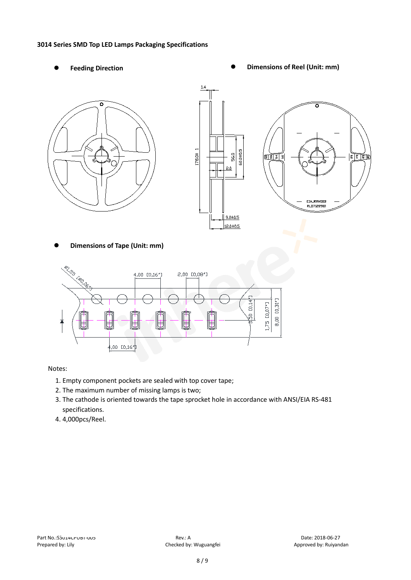#### **3014 Series SMD Top LED Lamps Packaging Specifications**

- 
- Feeding Direction **Constanting Constanting Constanting Constanting Constanting Constanting Constanting Constanting Constanting Constanting Constanting Constanting Constanting Constanting Constanting Constanting Constanting**





**Dimensions of Tape (Unit: mm)**



Notes:

- 1. Empty component pockets are sealed with top cover tape;
- 2. The maximum number of missing lamps is two;
- 3. The cathode is oriented towards the tape sprocket hole in accordance with ANSI/EIA RS-481 specifications.
- 4. 4,000pcs/Reel.